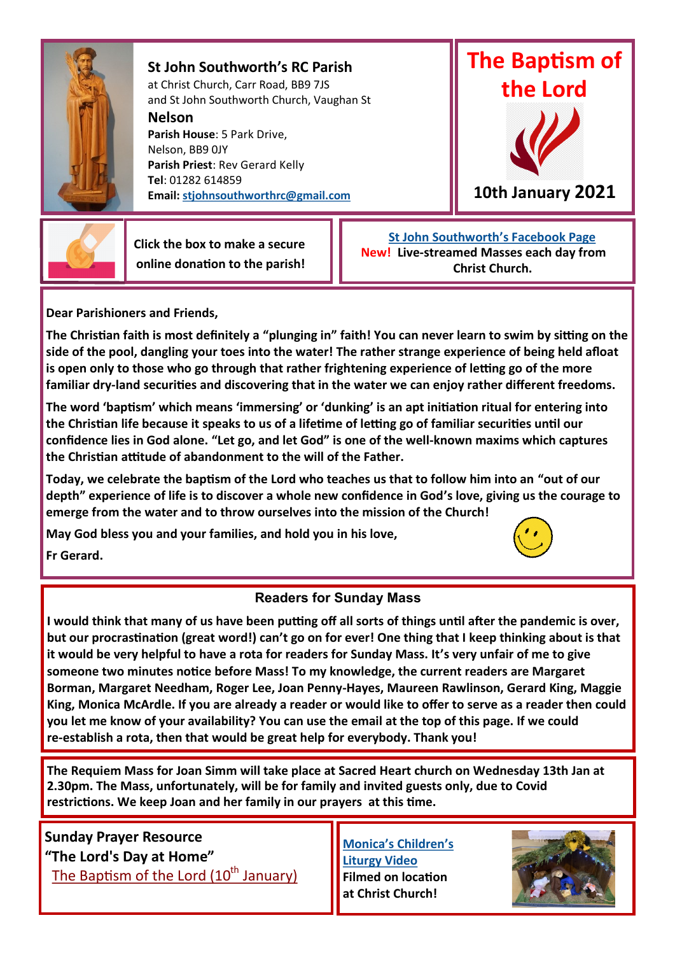

**St John Southworth's RC Parish** at Christ Church, Carr Road, BB9 7JS and St John Southworth Church, Vaughan St

**Nelson**

**Parish House**: 5 Park Drive, Nelson, BB9 0JY **Parish Priest**: Rev Gerard Kelly **Tel**: 01282 614859 **Email: [stjohnsouthworthrc@gmail.com](mailto:stjohnsouthworthrc@gmail.com)**





 **Click the box to make a secure online donation to the parish!**

 **[St John Southworth's Facebook Page](https://www.facebook.com/Parish-of-St-John-Southworth-in-Nelson-105718084323986) New! Live-streamed Masses each day from Christ Church.**

**Dear Parishioners and Friends,**

**The Christian faith is most definitely a "plunging in" faith! You can never learn to swim by sitting on the side of the pool, dangling your toes into the water! The rather strange experience of being held afloat is open only to those who go through that rather frightening experience of letting go of the more familiar dry-land securities and discovering that in the water we can enjoy rather different freedoms.** 

**The word 'baptism' which means 'immersing' or 'dunking' is an apt initiation ritual for entering into the Christian life because it speaks to us of a lifetime of letting go of familiar securities until our confidence lies in God alone. "Let go, and let God" is one of the well-known maxims which captures the Christian attitude of abandonment to the will of the Father.** 

**Today, we celebrate the baptism of the Lord who teaches us that to follow him into an "out of our depth" experience of life is to discover a whole new confidence in God's love, giving us the courage to emerge from the water and to throw ourselves into the mission of the Church!**

**May God bless you and your families, and hold you in his love,**



**Fr Gerard.**

## **Readers for Sunday Mass**

**I would think that many of us have been putting off all sorts of things until after the pandemic is over, but our procrastination (great word!) can't go on for ever! One thing that I keep thinking about is that it would be very helpful to have a rota for readers for Sunday Mass. It's very unfair of me to give someone two minutes notice before Mass! To my knowledge, the current readers are Margaret Borman, Margaret Needham, Roger Lee, Joan Penny-Hayes, Maureen Rawlinson, Gerard King, Maggie King, Monica McArdle. If you are already a reader or would like to offer to serve as a reader then could you let me know of your availability? You can use the email at the top of this page. If we could re-establish a rota, then that would be great help for everybody. Thank you!**

**The Requiem Mass for Joan Simm will take place at Sacred Heart church on Wednesday 13th Jan at 2.30pm. The Mass, unfortunately, will be for family and invited guests only, due to Covid restrictions. We keep Joan and her family in our prayers at this time.** 

**Sunday Prayer Resource "The Lord's Day at Home"** [The Baptism of the Lord \(10](https://dioceseofsalford.us6.list-manage.com/track/click?u=76e219dab8653b775ba8aac4c&id=a65a971b0d&e=0a9c0a8b4b)<sup>th</sup> January)

**[Monica's Children's](https://youtu.be/O4B3HSIy_2Y)  [Liturgy Video](https://youtu.be/O4B3HSIy_2Y)  Filmed on location at Christ Church!**